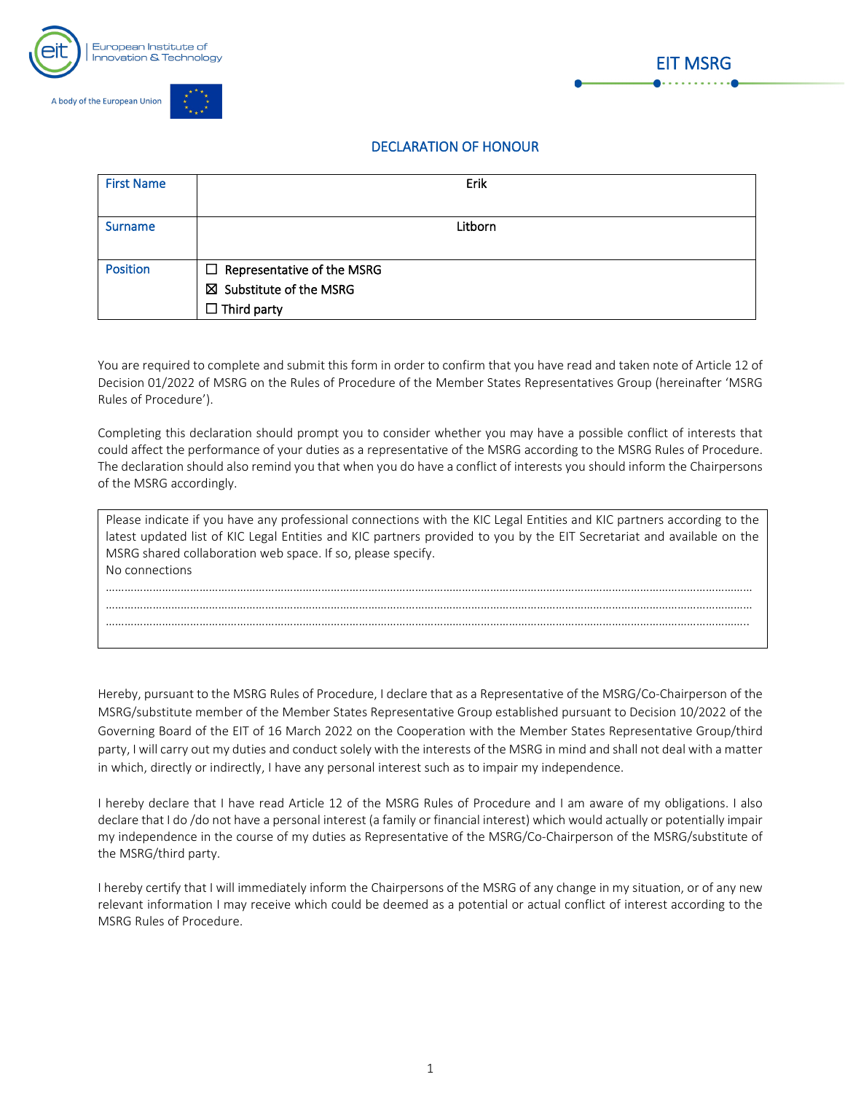



## DECLARATION OF HONOUR

| <b>First Name</b> | Erik                                                                                          |
|-------------------|-----------------------------------------------------------------------------------------------|
| <b>Surname</b>    | Litborn                                                                                       |
| <b>Position</b>   | $\Box$ Representative of the MSRG<br>$\boxtimes$ Substitute of the MSRG<br>$\Box$ Third party |

You are required to complete and submit this form in order to confirm that you have read and taken note of Article 12 of Decision 01/2022 of MSRG on the Rules of Procedure of the Member States Representatives Group (hereinafter 'MSRG Rules of Procedure').

Completing this declaration should prompt you to consider whether you may have a possible conflict of interests that could affect the performance of your duties as a representative of the MSRG according to the MSRG Rules of Procedure. The declaration should also remind you that when you do have a conflict of interests you should inform the Chairpersons of the MSRG accordingly.

| Please indicate if you have any professional connections with the KIC Legal Entities and KIC partners according to the<br>latest updated list of KIC Legal Entities and KIC partners provided to you by the EIT Secretariat and available on the<br>MSRG shared collaboration web space. If so, please specify. |
|-----------------------------------------------------------------------------------------------------------------------------------------------------------------------------------------------------------------------------------------------------------------------------------------------------------------|
| No connections                                                                                                                                                                                                                                                                                                  |
|                                                                                                                                                                                                                                                                                                                 |
|                                                                                                                                                                                                                                                                                                                 |
|                                                                                                                                                                                                                                                                                                                 |
|                                                                                                                                                                                                                                                                                                                 |
|                                                                                                                                                                                                                                                                                                                 |
|                                                                                                                                                                                                                                                                                                                 |

Hereby, pursuant to the MSRG Rules of Procedure, I declare that as a Representative of the MSRG/Co-Chairperson of the MSRG/substitute member of the Member States Representative Group established pursuant to Decision 10/2022 of the Governing Board of the EIT of 16 March 2022 on the Cooperation with the Member States Representative Group/third party, I will carry out my duties and conduct solely with the interests of the MSRG in mind and shall not deal with a matter in which, directly or indirectly, I have any personal interest such as to impair my independence.

I hereby declare that I have read Article 12 of the MSRG Rules of Procedure and I am aware of my obligations. I also declare that I do /do not have a personal interest (a family or financial interest) which would actually or potentially impair my independence in the course of my duties as Representative of the MSRG/Co-Chairperson of the MSRG/substitute of the MSRG/third party.

I hereby certify that I will immediately inform the Chairpersons of the MSRG of any change in my situation, or of any new relevant information I may receive which could be deemed as a potential or actual conflict of interest according to the MSRG Rules of Procedure.